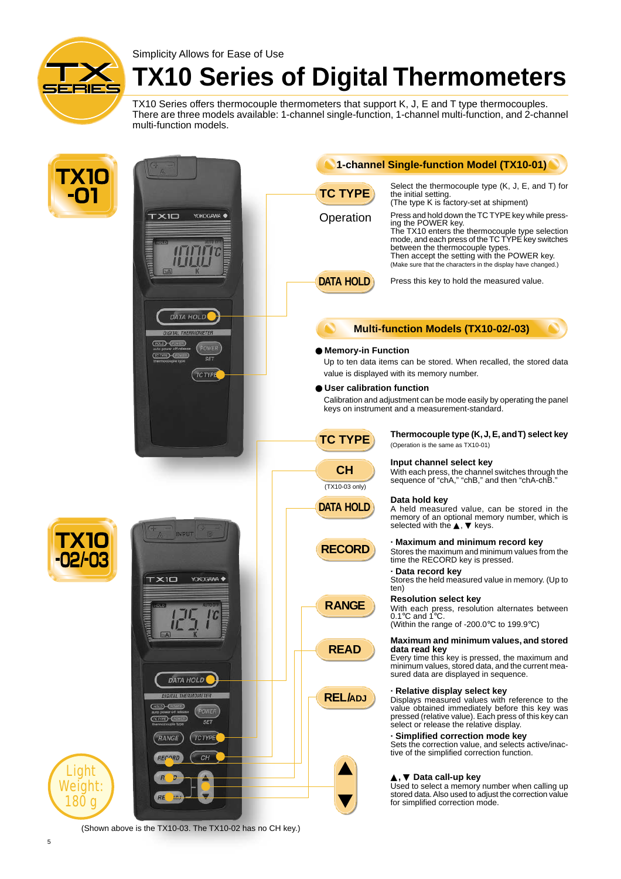

Simplicity Allows for Ease of Use

## **TX10 Series of Digital Thermometers**

TX10 Series offers thermocouple thermometers that support K, J, E and T type thermocouples. There are three models available: 1-channel single-function, 1-channel multi-function, and 2-channel multi-function models.



(Shown above is the TX10-03. The TX10-02 has no CH key.)